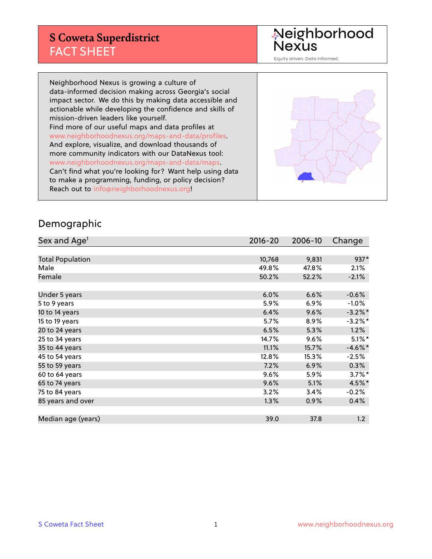# **S Coweta Superdistrict** FACT SHEET

Neighborhood<br>Nexus

Equity driven. Data informed.

Neighborhood Nexus is growing a culture of data-informed decision making across Georgia's social impact sector. We do this by making data accessible and actionable while developing the confidence and skills of mission-driven leaders like yourself. Find more of our useful maps and data profiles at www.neighborhoodnexus.org/maps-and-data/profiles. And explore, visualize, and download thousands of more community indicators with our DataNexus tool: www.neighborhoodnexus.org/maps-and-data/maps. Can't find what you're looking for? Want help using data to make a programming, funding, or policy decision? Reach out to [info@neighborhoodnexus.org!](mailto:info@neighborhoodnexus.org)



#### Demographic

| Sex and Age <sup>1</sup> | $2016 - 20$ | 2006-10 | Change     |
|--------------------------|-------------|---------|------------|
|                          |             |         |            |
| <b>Total Population</b>  | 10,768      | 9,831   | 937*       |
| Male                     | 49.8%       | 47.8%   | $2.1\%$    |
| Female                   | 50.2%       | 52.2%   | $-2.1%$    |
|                          |             |         |            |
| Under 5 years            | 6.0%        | 6.6%    | $-0.6%$    |
| 5 to 9 years             | 5.9%        | 6.9%    | $-1.0\%$   |
| 10 to 14 years           | 6.4%        | 9.6%    | $-3.2\%$ * |
| 15 to 19 years           | 5.7%        | 8.9%    | $-3.2%$ *  |
| 20 to 24 years           | 6.5%        | 5.3%    | 1.2%       |
| 25 to 34 years           | 14.7%       | 9.6%    | $5.1\%$ *  |
| 35 to 44 years           | 11.1%       | 15.7%   | $-4.6\%$ * |
| 45 to 54 years           | 12.8%       | 15.3%   | $-2.5%$    |
| 55 to 59 years           | 7.2%        | 6.9%    | 0.3%       |
| 60 to 64 years           | $9.6\%$     | 5.9%    | $3.7\%$ *  |
| 65 to 74 years           | 9.6%        | 5.1%    | 4.5%*      |
| 75 to 84 years           | 3.2%        | 3.4%    | $-0.2%$    |
| 85 years and over        | 1.3%        | 0.9%    | 0.4%       |
|                          |             |         |            |
| Median age (years)       | 39.0        | 37.8    | 1.2        |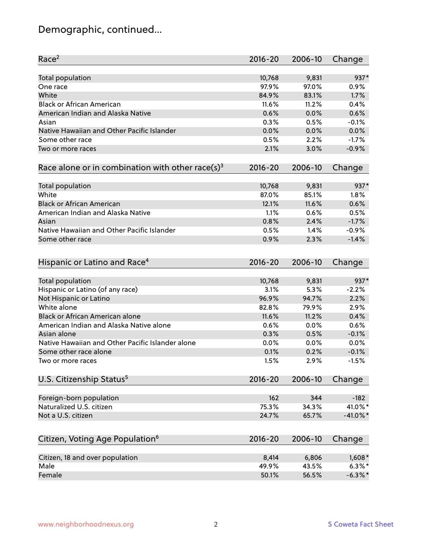# Demographic, continued...

| Race <sup>2</sup>                                            | $2016 - 20$ | 2006-10 | Change      |
|--------------------------------------------------------------|-------------|---------|-------------|
| Total population                                             | 10,768      | 9,831   | 937*        |
| One race                                                     | 97.9%       | 97.0%   | 0.9%        |
| White                                                        | 84.9%       | 83.1%   | 1.7%        |
| <b>Black or African American</b>                             | 11.6%       | 11.2%   | 0.4%        |
| American Indian and Alaska Native                            | 0.6%        | 0.0%    | 0.6%        |
| Asian                                                        | 0.3%        | 0.5%    | $-0.1%$     |
| Native Hawaiian and Other Pacific Islander                   | 0.0%        | 0.0%    | 0.0%        |
| Some other race                                              | 0.5%        | 2.2%    | $-1.7%$     |
| Two or more races                                            | 2.1%        | 3.0%    | $-0.9%$     |
|                                                              |             |         |             |
| Race alone or in combination with other race(s) <sup>3</sup> | $2016 - 20$ | 2006-10 | Change      |
| <b>Total population</b>                                      | 10,768      | 9,831   | $937*$      |
| White                                                        | 87.0%       | 85.1%   | 1.8%        |
| <b>Black or African American</b>                             | 12.1%       | 11.6%   | 0.6%        |
| American Indian and Alaska Native                            | 1.1%        | 0.6%    | 0.5%        |
| Asian                                                        | 0.8%        | 2.4%    | $-1.7%$     |
| Native Hawaiian and Other Pacific Islander                   | 0.5%        | 1.4%    | $-0.9%$     |
| Some other race                                              | 0.9%        | 2.3%    | $-1.4%$     |
|                                                              |             |         |             |
| Hispanic or Latino and Race <sup>4</sup>                     | $2016 - 20$ | 2006-10 | Change      |
| Total population                                             | 10,768      | 9,831   | 937*        |
| Hispanic or Latino (of any race)                             | 3.1%        | 5.3%    | $-2.2%$     |
| Not Hispanic or Latino                                       | 96.9%       | 94.7%   | 2.2%        |
| White alone                                                  | 82.8%       | 79.9%   | 2.9%        |
| Black or African American alone                              | 11.6%       | 11.2%   | 0.4%        |
| American Indian and Alaska Native alone                      | 0.6%        | 0.0%    | 0.6%        |
| Asian alone                                                  | 0.3%        | 0.5%    | $-0.1%$     |
| Native Hawaiian and Other Pacific Islander alone             | 0.0%        | 0.0%    | 0.0%        |
| Some other race alone                                        | 0.1%        | 0.2%    | $-0.1%$     |
| Two or more races                                            | 1.5%        | 2.9%    | $-1.5%$     |
| U.S. Citizenship Status <sup>5</sup>                         | $2016 - 20$ | 2006-10 | Change      |
|                                                              |             |         |             |
| Foreign-born population                                      | 162         | 344     | $-182$      |
| Naturalized U.S. citizen                                     | 75.3%       | 34.3%   | 41.0%*      |
| Not a U.S. citizen                                           | 24.7%       | 65.7%   | $-41.0\%$ * |
|                                                              |             |         |             |
| Citizen, Voting Age Population <sup>6</sup>                  | $2016 - 20$ | 2006-10 | Change      |
| Citizen, 18 and over population                              | 8,414       | 6,806   | $1,608*$    |
| Male                                                         | 49.9%       | 43.5%   | $6.3\%$ *   |
| Female                                                       | 50.1%       | 56.5%   | $-6.3\%$ *  |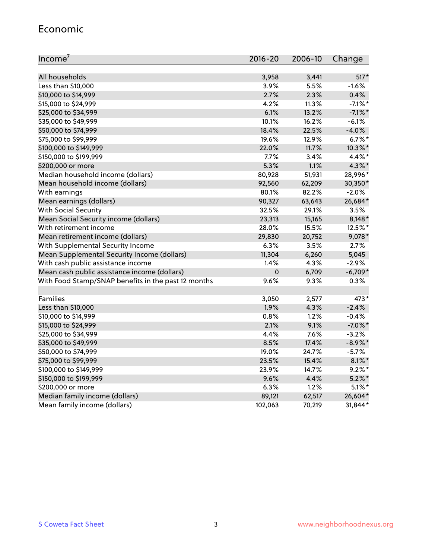#### Economic

| Income <sup>7</sup>                                 | $2016 - 20$ | 2006-10 | Change     |
|-----------------------------------------------------|-------------|---------|------------|
|                                                     |             |         |            |
| All households                                      | 3,958       | 3,441   | $517*$     |
| Less than \$10,000                                  | 3.9%        | 5.5%    | $-1.6%$    |
| \$10,000 to \$14,999                                | 2.7%        | 2.3%    | 0.4%       |
| \$15,000 to \$24,999                                | 4.2%        | 11.3%   | $-7.1\%$ * |
| \$25,000 to \$34,999                                | 6.1%        | 13.2%   | $-7.1\%$ * |
| \$35,000 to \$49,999                                | 10.1%       | 16.2%   | $-6.1%$    |
| \$50,000 to \$74,999                                | 18.4%       | 22.5%   | $-4.0%$    |
| \$75,000 to \$99,999                                | 19.6%       | 12.9%   | $6.7\%$ *  |
| \$100,000 to \$149,999                              | 22.0%       | 11.7%   | 10.3%*     |
| \$150,000 to \$199,999                              | 7.7%        | 3.4%    | 4.4%*      |
| \$200,000 or more                                   | 5.3%        | 1.1%    | $4.3\%$ *  |
| Median household income (dollars)                   | 80,928      | 51,931  | 28,996*    |
| Mean household income (dollars)                     | 92,560      | 62,209  | 30,350*    |
| With earnings                                       | 80.1%       | 82.2%   | $-2.0%$    |
| Mean earnings (dollars)                             | 90,327      | 63,643  | 26,684*    |
| <b>With Social Security</b>                         | 32.5%       | 29.1%   | 3.5%       |
| Mean Social Security income (dollars)               | 23,313      | 15,165  | $8,148*$   |
| With retirement income                              | 28.0%       | 15.5%   | 12.5%*     |
| Mean retirement income (dollars)                    | 29,830      | 20,752  | 9,078*     |
| With Supplemental Security Income                   | $6.3\%$     | 3.5%    | 2.7%       |
| Mean Supplemental Security Income (dollars)         | 11,304      | 6,260   | 5,045      |
| With cash public assistance income                  | 1.4%        | 4.3%    | $-2.9%$    |
| Mean cash public assistance income (dollars)        | $\pmb{0}$   | 6,709   | $-6,709*$  |
| With Food Stamp/SNAP benefits in the past 12 months | 9.6%        | 9.3%    | 0.3%       |
|                                                     |             |         |            |
| Families                                            | 3,050       | 2,577   | 473*       |
| Less than \$10,000                                  | 1.9%        | 4.3%    | $-2.4%$    |
| \$10,000 to \$14,999                                | 0.8%        | 1.2%    | $-0.4%$    |
| \$15,000 to \$24,999                                | 2.1%        | 9.1%    | $-7.0\%$ * |
| \$25,000 to \$34,999                                | 4.4%        | 7.6%    | $-3.2%$    |
| \$35,000 to \$49,999                                | 8.5%        | 17.4%   | $-8.9\%$ * |
| \$50,000 to \$74,999                                | 19.0%       | 24.7%   | $-5.7%$    |
| \$75,000 to \$99,999                                | 23.5%       | 15.4%   | $8.1\%$ *  |
| \$100,000 to \$149,999                              | 23.9%       | 14.7%   | $9.2\%$ *  |
| \$150,000 to \$199,999                              | 9.6%        | 4.4%    | $5.2\%$ *  |
| \$200,000 or more                                   | 6.3%        | 1.2%    | $5.1\%$ *  |
| Median family income (dollars)                      | 89,121      | 62,517  | 26,604*    |
| Mean family income (dollars)                        | 102,063     | 70,219  | 31,844*    |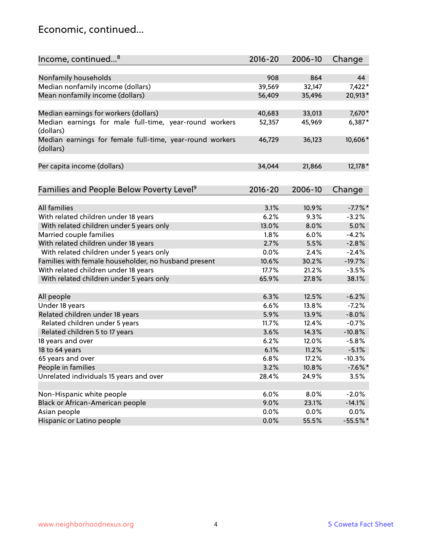### Economic, continued...

| Income, continued <sup>8</sup>                                        | $2016 - 20$ | 2006-10 | Change     |
|-----------------------------------------------------------------------|-------------|---------|------------|
|                                                                       |             |         |            |
| Nonfamily households                                                  | 908         | 864     | 44         |
| Median nonfamily income (dollars)                                     | 39,569      | 32,147  | $7,422*$   |
| Mean nonfamily income (dollars)                                       | 56,409      | 35,496  | 20,913*    |
| Median earnings for workers (dollars)                                 | 40,683      | 33,013  | 7,670*     |
| Median earnings for male full-time, year-round workers<br>(dollars)   | 52,357      | 45,969  | 6,387*     |
| Median earnings for female full-time, year-round workers<br>(dollars) | 46,729      | 36,123  | 10,606*    |
| Per capita income (dollars)                                           | 34,044      | 21,866  | 12,178 *   |
| Families and People Below Poverty Level <sup>9</sup>                  | 2016-20     | 2006-10 | Change     |
|                                                                       |             |         |            |
| <b>All families</b>                                                   | 3.1%        | 10.9%   | $-7.7%$ *  |
| With related children under 18 years                                  | 6.2%        | 9.3%    | $-3.2%$    |
| With related children under 5 years only                              | 13.0%       | 8.0%    | 5.0%       |
| Married couple families                                               | 1.8%        | 6.0%    | $-4.2%$    |
| With related children under 18 years                                  | 2.7%        | 5.5%    | $-2.8%$    |
| With related children under 5 years only                              | 0.0%        | 2.4%    | $-2.4%$    |
| Families with female householder, no husband present                  | 10.6%       | 30.2%   | $-19.7%$   |
| With related children under 18 years                                  | 17.7%       | 21.2%   | $-3.5%$    |
| With related children under 5 years only                              | 65.9%       | 27.8%   | 38.1%      |
| All people                                                            | 6.3%        | 12.5%   | $-6.2%$    |
| Under 18 years                                                        | 6.6%        | 13.8%   | $-7.2%$    |
| Related children under 18 years                                       | 5.9%        | 13.9%   | $-8.0%$    |
| Related children under 5 years                                        | 11.7%       | 12.4%   | $-0.7%$    |
| Related children 5 to 17 years                                        | 3.6%        | 14.3%   | $-10.8%$   |
| 18 years and over                                                     | 6.2%        | 12.0%   | $-5.8%$    |
| 18 to 64 years                                                        | 6.1%        | 11.2%   | $-5.1%$    |
| 65 years and over                                                     | 6.8%        | 17.2%   | $-10.3%$   |
| People in families                                                    | 3.2%        | 10.8%   | $-7.6%$ *  |
| Unrelated individuals 15 years and over                               | 28.4%       | 24.9%   | 3.5%       |
|                                                                       |             |         |            |
| Non-Hispanic white people                                             | 6.0%        | 8.0%    | $-2.0%$    |
| Black or African-American people                                      | 9.0%        | 23.1%   | $-14.1%$   |
| Asian people                                                          | $0.0\%$     | $0.0\%$ | 0.0%       |
| Hispanic or Latino people                                             | 0.0%        | 55.5%   | $-55.5%$ * |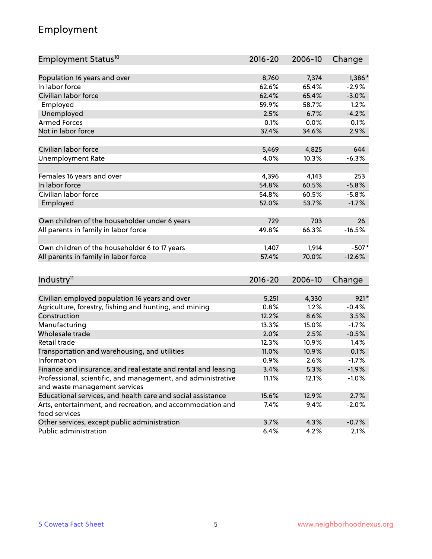# Employment

| Employment Status <sup>10</sup>                                             | $2016 - 20$ | 2006-10 | Change   |
|-----------------------------------------------------------------------------|-------------|---------|----------|
|                                                                             |             |         |          |
| Population 16 years and over                                                | 8,760       | 7,374   | 1,386*   |
| In labor force                                                              | 62.6%       | 65.4%   | $-2.9%$  |
| Civilian labor force                                                        | 62.4%       | 65.4%   | $-3.0%$  |
| Employed                                                                    | 59.9%       | 58.7%   | 1.2%     |
| Unemployed                                                                  | 2.5%        | 6.7%    | $-4.2%$  |
| <b>Armed Forces</b>                                                         | 0.1%        | 0.0%    | 0.1%     |
| Not in labor force                                                          | 37.4%       | 34.6%   | 2.9%     |
|                                                                             |             |         |          |
| Civilian labor force                                                        | 5,469       | 4,825   | 644      |
| <b>Unemployment Rate</b>                                                    | 4.0%        | 10.3%   | $-6.3%$  |
| Females 16 years and over                                                   | 4,396       | 4,143   | 253      |
| In labor force                                                              | 54.8%       | 60.5%   | $-5.8%$  |
| Civilian labor force                                                        | 54.8%       | 60.5%   | $-5.8%$  |
| Employed                                                                    | 52.0%       | 53.7%   | $-1.7%$  |
|                                                                             |             |         |          |
| Own children of the householder under 6 years                               | 729         | 703     | 26       |
| All parents in family in labor force                                        | 49.8%       | 66.3%   | $-16.5%$ |
|                                                                             |             |         |          |
| Own children of the householder 6 to 17 years                               | 1,407       | 1,914   | $-507*$  |
| All parents in family in labor force                                        | 57.4%       | 70.0%   | $-12.6%$ |
|                                                                             |             |         |          |
| Industry <sup>11</sup>                                                      | $2016 - 20$ | 2006-10 | Change   |
|                                                                             |             |         |          |
| Civilian employed population 16 years and over                              | 5,251       | 4,330   | $921*$   |
| Agriculture, forestry, fishing and hunting, and mining                      | 0.8%        | 1.2%    | $-0.4%$  |
| Construction                                                                | 12.2%       | 8.6%    | 3.5%     |
| Manufacturing                                                               | 13.3%       | 15.0%   | $-1.7%$  |
| Wholesale trade                                                             | 2.0%        | 2.5%    | $-0.5%$  |
| Retail trade                                                                | 12.3%       | 10.9%   | 1.4%     |
| Transportation and warehousing, and utilities<br>Information                | 11.0%       | 10.9%   | 0.1%     |
|                                                                             | 0.9%        | 2.6%    | $-1.7%$  |
| Finance and insurance, and real estate and rental and leasing               | 3.4%        | 5.3%    | $-1.9%$  |
| Professional, scientific, and management, and administrative                | 11.1%       | 12.1%   | $-1.0%$  |
| and waste management services                                               |             |         |          |
| Educational services, and health care and social assistance                 | 15.6%       | 12.9%   | 2.7%     |
| Arts, entertainment, and recreation, and accommodation and<br>food services | 7.4%        | 9.4%    | $-2.0%$  |
| Other services, except public administration                                | 3.7%        | 4.3%    | $-0.7%$  |
| Public administration                                                       | 6.4%        | 4.2%    | 2.1%     |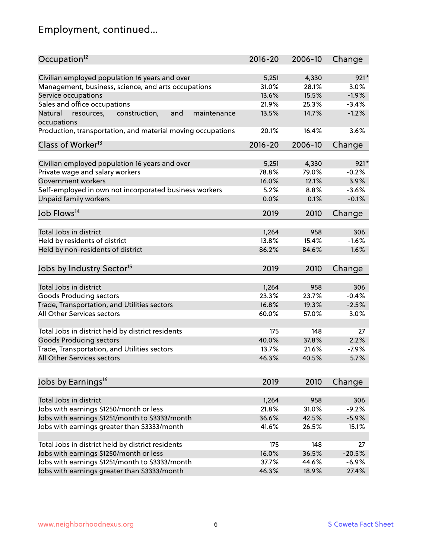# Employment, continued...

| Occupation <sup>12</sup>                                     | $2016 - 20$ | 2006-10 | Change   |
|--------------------------------------------------------------|-------------|---------|----------|
| Civilian employed population 16 years and over               | 5,251       | 4,330   | $921*$   |
| Management, business, science, and arts occupations          | 31.0%       | 28.1%   | 3.0%     |
| Service occupations                                          | 13.6%       | 15.5%   | $-1.9%$  |
| Sales and office occupations                                 | 21.9%       | 25.3%   | $-3.4%$  |
| Natural<br>and<br>resources,<br>construction,<br>maintenance | 13.5%       | 14.7%   | $-1.2%$  |
| occupations                                                  |             |         |          |
| Production, transportation, and material moving occupations  | 20.1%       | 16.4%   | 3.6%     |
| Class of Worker <sup>13</sup>                                | $2016 - 20$ | 2006-10 | Change   |
| Civilian employed population 16 years and over               | 5,251       | 4,330   | $921*$   |
| Private wage and salary workers                              | 78.8%       | 79.0%   | $-0.2%$  |
| Government workers                                           | 16.0%       | 12.1%   | 3.9%     |
|                                                              | 5.2%        | 8.8%    | $-3.6%$  |
| Self-employed in own not incorporated business workers       | 0.0%        | 0.1%    | $-0.1%$  |
| Unpaid family workers                                        |             |         |          |
| Job Flows <sup>14</sup>                                      | 2019        | 2010    | Change   |
|                                                              |             |         |          |
| Total Jobs in district                                       | 1,264       | 958     | 306      |
| Held by residents of district                                | 13.8%       | 15.4%   | $-1.6%$  |
| Held by non-residents of district                            | 86.2%       | 84.6%   | 1.6%     |
| Jobs by Industry Sector <sup>15</sup>                        | 2019        | 2010    | Change   |
| Total Jobs in district                                       | 1,264       | 958     | 306      |
| Goods Producing sectors                                      | 23.3%       | 23.7%   | $-0.4%$  |
| Trade, Transportation, and Utilities sectors                 | 16.8%       | 19.3%   | $-2.5%$  |
| <b>All Other Services sectors</b>                            | 60.0%       | 57.0%   | 3.0%     |
|                                                              |             |         |          |
| Total Jobs in district held by district residents            | 175         | 148     | 27       |
| <b>Goods Producing sectors</b>                               | 40.0%       | 37.8%   | 2.2%     |
| Trade, Transportation, and Utilities sectors                 | 13.7%       | 21.6%   | $-7.9%$  |
| All Other Services sectors                                   | 46.3%       | 40.5%   | 5.7%     |
|                                                              |             |         |          |
| Jobs by Earnings <sup>16</sup>                               | 2019        | 2010    | Change   |
| Total Jobs in district                                       | 1,264       | 958     | 306      |
| Jobs with earnings \$1250/month or less                      | 21.8%       | 31.0%   | $-9.2%$  |
| Jobs with earnings \$1251/month to \$3333/month              | 36.6%       | 42.5%   | $-5.9%$  |
| Jobs with earnings greater than \$3333/month                 | 41.6%       | 26.5%   | 15.1%    |
|                                                              |             |         |          |
| Total Jobs in district held by district residents            | 175         | 148     | 27       |
| Jobs with earnings \$1250/month or less                      | 16.0%       | 36.5%   | $-20.5%$ |
| Jobs with earnings \$1251/month to \$3333/month              | 37.7%       | 44.6%   | $-6.9%$  |
| Jobs with earnings greater than \$3333/month                 | 46.3%       | 18.9%   | 27.4%    |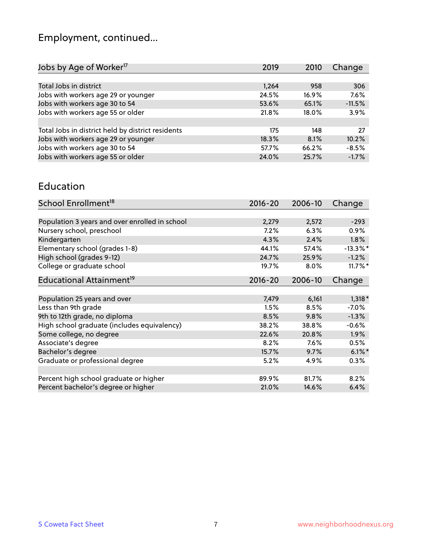# Employment, continued...

| Jobs by Age of Worker <sup>17</sup>               | 2019  | 2010     | Change   |
|---------------------------------------------------|-------|----------|----------|
|                                                   |       |          |          |
| Total Jobs in district                            | 1,264 | 958      | 306      |
| Jobs with workers age 29 or younger               | 24.5% | $16.9\%$ | 7.6%     |
| Jobs with workers age 30 to 54                    | 53.6% | 65.1%    | $-11.5%$ |
| Jobs with workers age 55 or older                 | 21.8% | 18.0%    | 3.9%     |
|                                                   |       |          |          |
| Total Jobs in district held by district residents | 175   | 148      | 27       |
| Jobs with workers age 29 or younger               | 18.3% | 8.1%     | 10.2%    |
| Jobs with workers age 30 to 54                    | 57.7% | 66.2%    | $-8.5%$  |
| Jobs with workers age 55 or older                 | 24.0% | 25.7%    | $-1.7%$  |

#### Education

| School Enrollment <sup>18</sup>                | $2016 - 20$ | 2006-10 | Change      |
|------------------------------------------------|-------------|---------|-------------|
|                                                |             |         |             |
| Population 3 years and over enrolled in school | 2,279       | 2,572   | $-293$      |
| Nursery school, preschool                      | 7.2%        | 6.3%    | 0.9%        |
| Kindergarten                                   | 4.3%        | 2.4%    | $1.8\%$     |
| Elementary school (grades 1-8)                 | 44.1%       | 57.4%   | $-13.3\%$ * |
| High school (grades 9-12)                      | 24.7%       | 25.9%   | $-1.2%$     |
| College or graduate school                     | 19.7%       | 8.0%    | $11.7\%$ *  |
| Educational Attainment <sup>19</sup>           | $2016 - 20$ | 2006-10 | Change      |
|                                                |             |         |             |
| Population 25 years and over                   | 7,479       | 6,161   | $1,318*$    |
| Less than 9th grade                            | 1.5%        | 8.5%    | $-7.0\%$    |
| 9th to 12th grade, no diploma                  | 8.5%        | 9.8%    | $-1.3%$     |
| High school graduate (includes equivalency)    | 38.2%       | 38.8%   | $-0.6%$     |
| Some college, no degree                        | 22.6%       | 20.8%   | 1.9%        |
| Associate's degree                             | 8.2%        | 7.6%    | 0.5%        |
| Bachelor's degree                              | 15.7%       | 9.7%    | $6.1\%$ *   |
| Graduate or professional degree                | 5.2%        | 4.9%    | 0.3%        |
|                                                |             |         |             |
| Percent high school graduate or higher         | 89.9%       | 81.7%   | 8.2%        |
| Percent bachelor's degree or higher            | 21.0%       | 14.6%   | 6.4%        |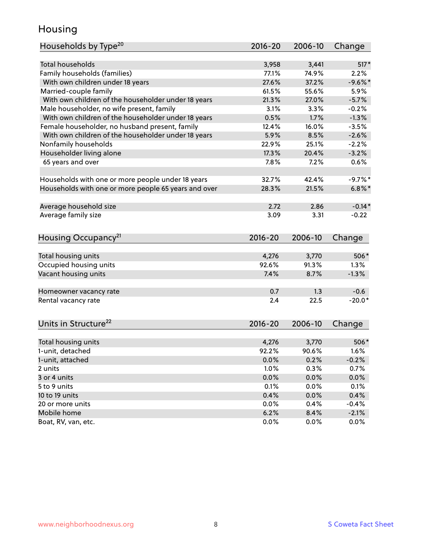### Housing

| Households by Type <sup>20</sup>                     | 2016-20     | 2006-10 | Change    |
|------------------------------------------------------|-------------|---------|-----------|
|                                                      |             |         |           |
| <b>Total households</b>                              | 3,958       | 3,441   | $517*$    |
| Family households (families)                         | 77.1%       | 74.9%   | 2.2%      |
| With own children under 18 years                     | 27.6%       | 37.2%   | $-9.6%$ * |
| Married-couple family                                | 61.5%       | 55.6%   | 5.9%      |
| With own children of the householder under 18 years  | 21.3%       | 27.0%   | $-5.7%$   |
| Male householder, no wife present, family            | 3.1%        | 3.3%    | $-0.2%$   |
| With own children of the householder under 18 years  | 0.5%        | 1.7%    | $-1.3%$   |
| Female householder, no husband present, family       | 12.4%       | 16.0%   | $-3.5%$   |
| With own children of the householder under 18 years  | 5.9%        | 8.5%    | $-2.6%$   |
| Nonfamily households                                 | 22.9%       | 25.1%   | $-2.2%$   |
| Householder living alone                             | 17.3%       | 20.4%   | $-3.2%$   |
| 65 years and over                                    | 7.8%        | 7.2%    | 0.6%      |
|                                                      |             |         |           |
| Households with one or more people under 18 years    | 32.7%       | 42.4%   | $-9.7%$ * |
| Households with one or more people 65 years and over | 28.3%       | 21.5%   | $6.8\%$ * |
| Average household size                               | 2.72        | 2.86    | $-0.14*$  |
| Average family size                                  | 3.09        | 3.31    | $-0.22$   |
|                                                      |             |         |           |
| Housing Occupancy <sup>21</sup>                      | 2016-20     | 2006-10 | Change    |
| Total housing units                                  | 4,276       | 3,770   | 506*      |
| Occupied housing units                               | 92.6%       | 91.3%   | 1.3%      |
| Vacant housing units                                 | 7.4%        | 8.7%    | $-1.3%$   |
|                                                      |             |         |           |
| Homeowner vacancy rate                               | 0.7         | 1.3     | $-0.6$    |
| Rental vacancy rate                                  | 2.4         | 22.5    | $-20.0*$  |
|                                                      |             |         |           |
| Units in Structure <sup>22</sup>                     | $2016 - 20$ | 2006-10 | Change    |
| Total housing units                                  | 4,276       | 3,770   | $506*$    |
| 1-unit, detached                                     | 92.2%       | 90.6%   | 1.6%      |
| 1-unit, attached                                     | $0.0\%$     | 0.2%    | $-0.2%$   |
| 2 units                                              | 1.0%        | 0.3%    | 0.7%      |
| 3 or 4 units                                         | 0.0%        | 0.0%    | 0.0%      |
| 5 to 9 units                                         | 0.1%        | 0.0%    | 0.1%      |
| 10 to 19 units                                       | 0.4%        |         |           |
|                                                      |             | 0.0%    | 0.4%      |
| 20 or more units                                     | 0.0%        | 0.4%    | $-0.4%$   |
| Mobile home                                          | 6.2%        | 8.4%    | $-2.1%$   |
| Boat, RV, van, etc.                                  | 0.0%        | 0.0%    | $0.0\%$   |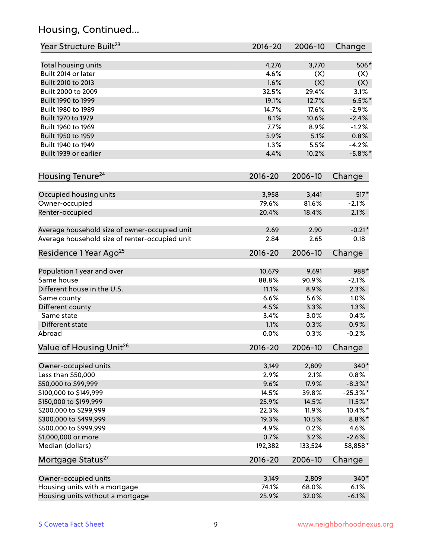# Housing, Continued...

| Year Structure Built <sup>23</sup>             | 2016-20     | 2006-10 | Change      |
|------------------------------------------------|-------------|---------|-------------|
| Total housing units                            | 4,276       | 3,770   | 506*        |
| Built 2014 or later                            | 4.6%        | (X)     | (X)         |
| Built 2010 to 2013                             | 1.6%        | (X)     | (X)         |
| Built 2000 to 2009                             | 32.5%       | 29.4%   | 3.1%        |
| Built 1990 to 1999                             | 19.1%       | 12.7%   | $6.5%$ *    |
| Built 1980 to 1989                             | 14.7%       | 17.6%   | $-2.9%$     |
| Built 1970 to 1979                             | 8.1%        | 10.6%   | $-2.4%$     |
| Built 1960 to 1969                             | 7.7%        | 8.9%    | $-1.2%$     |
| Built 1950 to 1959                             | 5.9%        | 5.1%    | 0.8%        |
| Built 1940 to 1949                             | 1.3%        | 5.5%    | $-4.2%$     |
| Built 1939 or earlier                          | 4.4%        | 10.2%   | $-5.8\%$ *  |
|                                                |             |         |             |
| Housing Tenure <sup>24</sup>                   | $2016 - 20$ | 2006-10 | Change      |
| Occupied housing units                         | 3,958       | 3,441   | $517*$      |
| Owner-occupied                                 | 79.6%       | 81.6%   | $-2.1%$     |
| Renter-occupied                                | 20.4%       | 18.4%   | 2.1%        |
| Average household size of owner-occupied unit  | 2.69        | 2.90    | $-0.21*$    |
| Average household size of renter-occupied unit | 2.84        | 2.65    | 0.18        |
| Residence 1 Year Ago <sup>25</sup>             | $2016 - 20$ | 2006-10 | Change      |
| Population 1 year and over                     | 10,679      | 9,691   | 988*        |
| Same house                                     | 88.8%       | 90.9%   | $-2.1%$     |
| Different house in the U.S.                    | 11.1%       | 8.9%    | 2.3%        |
| Same county                                    | 6.6%        | 5.6%    | 1.0%        |
| Different county                               | 4.5%        | 3.3%    | 1.3%        |
| Same state                                     | 3.4%        | 3.0%    | 0.4%        |
| Different state                                | 1.1%        | 0.3%    | 0.9%        |
| Abroad                                         | 0.0%        | 0.3%    | $-0.2%$     |
| Value of Housing Unit <sup>26</sup>            | 2016-20     | 2006-10 | Change      |
|                                                |             |         |             |
| Owner-occupied units                           | 3,149       | 2,809   | 340*        |
| Less than \$50,000                             | 2.9%        | 2.1%    | 0.8%        |
| \$50,000 to \$99,999                           | 9.6%        | 17.9%   | $-8.3\%$ *  |
| \$100,000 to \$149,999                         | 14.5%       | 39.8%   | $-25.3\%$ * |
| \$150,000 to \$199,999                         | 25.9%       | 14.5%   | $11.5\%$ *  |
| \$200,000 to \$299,999                         | 22.3%       | 11.9%   | 10.4%*      |
| \$300,000 to \$499,999                         | 19.3%       | 10.5%   | $8.8\%$ *   |
| \$500,000 to \$999,999                         | 4.9%        | 0.2%    | 4.6%        |
| \$1,000,000 or more                            | 0.7%        | 3.2%    | $-2.6%$     |
| Median (dollars)                               | 192,382     | 133,524 | 58,858*     |
| Mortgage Status <sup>27</sup>                  | $2016 - 20$ | 2006-10 | Change      |
| Owner-occupied units                           | 3,149       | 2,809   | 340*        |
| Housing units with a mortgage                  | 74.1%       | 68.0%   | 6.1%        |
| Housing units without a mortgage               | 25.9%       | 32.0%   | $-6.1%$     |
|                                                |             |         |             |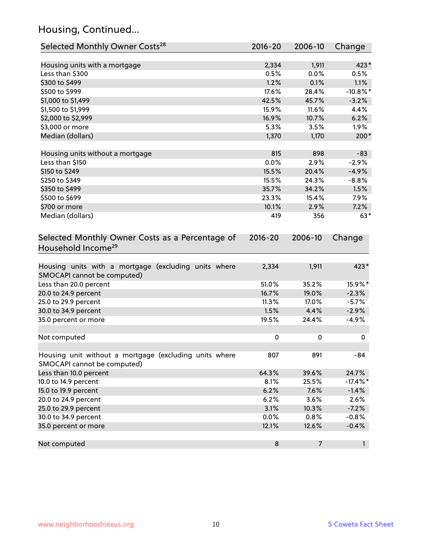# Housing, Continued...

| Selected Monthly Owner Costs <sup>28</sup>                                            | 2016-20     | 2006-10        | Change       |
|---------------------------------------------------------------------------------------|-------------|----------------|--------------|
| Housing units with a mortgage                                                         | 2,334       | 1,911          | 423*         |
| Less than \$300                                                                       | 0.5%        | 0.0%           | 0.5%         |
| \$300 to \$499                                                                        | 1.2%        | 0.1%           | 1.1%         |
| \$500 to \$999                                                                        | 17.6%       | 28.4%          | $-10.8\%$ *  |
| \$1,000 to \$1,499                                                                    | 42.5%       | 45.7%          | $-3.2%$      |
| \$1,500 to \$1,999                                                                    | 15.9%       | 11.6%          | 4.4%         |
| \$2,000 to \$2,999                                                                    | 16.9%       | 10.7%          | 6.2%         |
| \$3,000 or more                                                                       | 5.3%        | 3.5%           | 1.9%         |
| Median (dollars)                                                                      | 1,370       | 1,170          | $200*$       |
|                                                                                       |             |                |              |
| Housing units without a mortgage                                                      | 815         | 898            | $-83$        |
| Less than \$150                                                                       | 0.0%        | 2.9%           | $-2.9%$      |
| \$150 to \$249                                                                        | 15.5%       | 20.4%          | $-4.9%$      |
| \$250 to \$349                                                                        | 15.5%       | 24.3%          | $-8.8%$      |
| \$350 to \$499                                                                        | 35.7%       | 34.2%          | 1.5%         |
| \$500 to \$699                                                                        | 23.3%       | 15.4%          | 7.9%         |
| \$700 or more                                                                         | 10.1%       | 2.9%           | 7.2%         |
| Median (dollars)                                                                      | 419         | 356            | $63*$        |
| Selected Monthly Owner Costs as a Percentage of<br>Household Income <sup>29</sup>     | $2016 - 20$ | 2006-10        | Change       |
| Housing units with a mortgage (excluding units where<br>SMOCAPI cannot be computed)   | 2,334       | 1,911          | 423*         |
| Less than 20.0 percent                                                                | 51.0%       | 35.2%          | 15.9%*       |
| 20.0 to 24.9 percent                                                                  | 16.7%       | 19.0%          | $-2.3%$      |
| 25.0 to 29.9 percent                                                                  | 11.3%       | 17.0%          | $-5.7%$      |
| 30.0 to 34.9 percent                                                                  | 1.5%        | 4.4%           | $-2.9%$      |
| 35.0 percent or more                                                                  | 19.5%       | 24.4%          | $-4.9%$      |
| Not computed                                                                          | 0           | 0              | 0            |
| Housing unit without a mortgage (excluding units where<br>SMOCAPI cannot be computed) | 807         | 891            | -84          |
| Less than 10.0 percent                                                                | 64.3%       | 39.6%          | 24.7%        |
| 10.0 to 14.9 percent                                                                  | 8.1%        | 25.5%          | $-17.4\%$ *  |
| 15.0 to 19.9 percent                                                                  | 6.2%        | 7.6%           | $-1.4%$      |
| 20.0 to 24.9 percent                                                                  | 6.2%        | 3.6%           | 2.6%         |
| 25.0 to 29.9 percent                                                                  | 3.1%        | 10.3%          | $-7.2%$      |
| 30.0 to 34.9 percent                                                                  | 0.0%        | 0.8%           | $-0.8%$      |
| 35.0 percent or more                                                                  | 12.1%       | 12.6%          | $-0.4%$      |
| Not computed                                                                          | $\bf 8$     | $\overline{7}$ | $\mathbf{1}$ |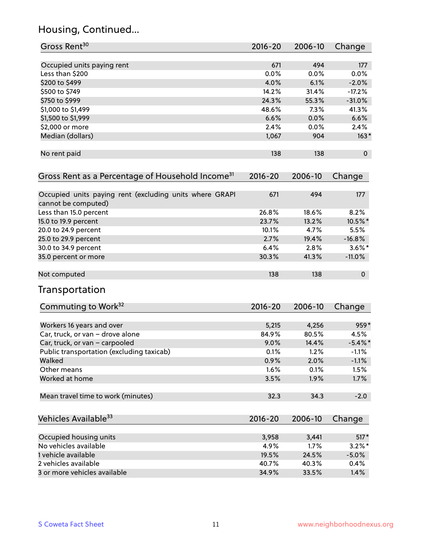# Housing, Continued...

| Gross Rent <sup>30</sup>                                                       | $2016 - 20$ | 2006-10 | Change         |
|--------------------------------------------------------------------------------|-------------|---------|----------------|
| Occupied units paying rent                                                     | 671         | 494     | 177            |
| Less than \$200                                                                | 0.0%        | 0.0%    | 0.0%           |
| \$200 to \$499                                                                 | 4.0%        | 6.1%    | $-2.0%$        |
| \$500 to \$749                                                                 | 14.2%       | 31.4%   | $-17.2%$       |
| \$750 to \$999                                                                 | 24.3%       | 55.3%   | $-31.0%$       |
| \$1,000 to \$1,499                                                             | 48.6%       | 7.3%    | 41.3%          |
| \$1,500 to \$1,999                                                             | 6.6%        | 0.0%    | 6.6%           |
| \$2,000 or more                                                                | 2.4%        | 0.0%    | 2.4%           |
| Median (dollars)                                                               | 1,067       | 904     | $163*$         |
| No rent paid                                                                   | 138         | 138     | $\pmb{0}$      |
| Gross Rent as a Percentage of Household Income <sup>31</sup>                   | $2016 - 20$ | 2006-10 | Change         |
| Occupied units paying rent (excluding units where GRAPI<br>cannot be computed) | 671         | 494     | 177            |
| Less than 15.0 percent                                                         | 26.8%       | 18.6%   | 8.2%           |
| 15.0 to 19.9 percent                                                           | 23.7%       | 13.2%   | 10.5%*         |
| 20.0 to 24.9 percent                                                           | 10.1%       | 4.7%    | 5.5%           |
| 25.0 to 29.9 percent                                                           | 2.7%        | 19.4%   | $-16.8%$       |
| 30.0 to 34.9 percent                                                           | 6.4%        | 2.8%    | $3.6\%$ *      |
| 35.0 percent or more                                                           | 30.3%       | 41.3%   | $-11.0%$       |
| Not computed                                                                   | 138         | 138     | $\overline{0}$ |
| Transportation                                                                 |             |         |                |
| Commuting to Work <sup>32</sup>                                                | 2016-20     | 2006-10 | Change         |
| Workers 16 years and over                                                      | 5,215       | 4,256   | 959*           |
| Car, truck, or van - drove alone                                               | 84.9%       | 80.5%   | 4.5%           |
| Car, truck, or van - carpooled                                                 | 9.0%        | 14.4%   | $-5.4\%$ *     |
| Public transportation (excluding taxicab)                                      | 0.1%        | 1.2%    | $-1.1%$        |
| Walked                                                                         | 0.9%        | 2.0%    | $-1.1%$        |
| Other means                                                                    | 1.6%        | 0.1%    | 1.5%           |
| Worked at home                                                                 | 3.5%        | 1.9%    | 1.7%           |
| Mean travel time to work (minutes)                                             | 32.3        | 34.3    | $-2.0$         |
| Vehicles Available <sup>33</sup>                                               | 2016-20     | 2006-10 | Change         |
| Occupied housing units                                                         | 3,958       | 3,441   | $517*$         |
| No vehicles available                                                          | 4.9%        | 1.7%    | $3.2\%$ *      |
| 1 vehicle available                                                            | 19.5%       | 24.5%   | $-5.0\%$       |
| 2 vehicles available                                                           | 40.7%       | 40.3%   | 0.4%           |
| 3 or more vehicles available                                                   | 34.9%       | 33.5%   | 1.4%           |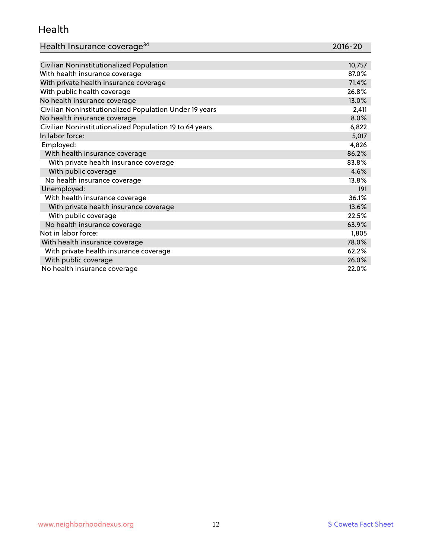#### Health

| Health Insurance coverage <sup>34</sup> | 2016-20 |
|-----------------------------------------|---------|
|-----------------------------------------|---------|

| Civilian Noninstitutionalized Population                | 10,757 |
|---------------------------------------------------------|--------|
| With health insurance coverage                          | 87.0%  |
| With private health insurance coverage                  | 71.4%  |
| With public health coverage                             | 26.8%  |
| No health insurance coverage                            | 13.0%  |
| Civilian Noninstitutionalized Population Under 19 years | 2,411  |
| No health insurance coverage                            | 8.0%   |
| Civilian Noninstitutionalized Population 19 to 64 years | 6,822  |
| In labor force:                                         | 5,017  |
| Employed:                                               | 4,826  |
| With health insurance coverage                          | 86.2%  |
| With private health insurance coverage                  | 83.8%  |
| With public coverage                                    | 4.6%   |
| No health insurance coverage                            | 13.8%  |
| Unemployed:                                             | 191    |
| With health insurance coverage                          | 36.1%  |
| With private health insurance coverage                  | 13.6%  |
| With public coverage                                    | 22.5%  |
| No health insurance coverage                            | 63.9%  |
| Not in labor force:                                     | 1,805  |
| With health insurance coverage                          | 78.0%  |
| With private health insurance coverage                  | 62.2%  |
| With public coverage                                    | 26.0%  |
| No health insurance coverage                            | 22.0%  |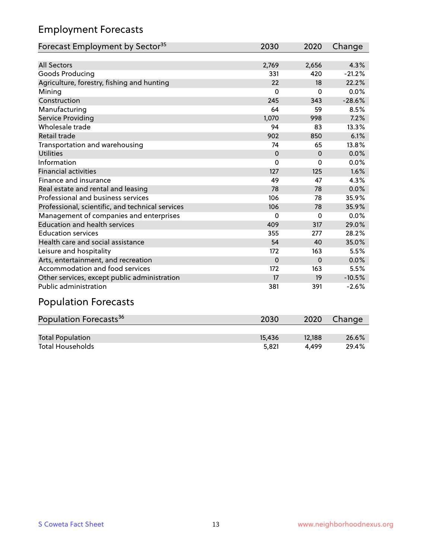# Employment Forecasts

| Forecast Employment by Sector <sup>35</sup>      | 2030     | 2020     | Change   |
|--------------------------------------------------|----------|----------|----------|
|                                                  |          |          |          |
| <b>All Sectors</b>                               | 2,769    | 2,656    | 4.3%     |
| Goods Producing                                  | 331      | 420      | $-21.2%$ |
| Agriculture, forestry, fishing and hunting       | 22       | 18       | 22.2%    |
| Mining                                           | $\Omega$ | $\Omega$ | 0.0%     |
| Construction                                     | 245      | 343      | $-28.6%$ |
| Manufacturing                                    | 64       | 59       | 8.5%     |
| Service Providing                                | 1,070    | 998      | 7.2%     |
| Wholesale trade                                  | 94       | 83       | 13.3%    |
| Retail trade                                     | 902      | 850      | 6.1%     |
| Transportation and warehousing                   | 74       | 65       | 13.8%    |
| <b>Utilities</b>                                 | $\Omega$ | $\Omega$ | 0.0%     |
| Information                                      | 0        | $\Omega$ | 0.0%     |
| <b>Financial activities</b>                      | 127      | 125      | 1.6%     |
| Finance and insurance                            | 49       | 47       | 4.3%     |
| Real estate and rental and leasing               | 78       | 78       | 0.0%     |
| Professional and business services               | 106      | 78       | 35.9%    |
| Professional, scientific, and technical services | 106      | 78       | 35.9%    |
| Management of companies and enterprises          | $\Omega$ | $\Omega$ | 0.0%     |
| <b>Education and health services</b>             | 409      | 317      | 29.0%    |
| <b>Education services</b>                        | 355      | 277      | 28.2%    |
| Health care and social assistance                | 54       | 40       | 35.0%    |
| Leisure and hospitality                          | 172      | 163      | 5.5%     |
| Arts, entertainment, and recreation              | $\Omega$ | $\Omega$ | 0.0%     |
| Accommodation and food services                  | 172      | 163      | 5.5%     |
| Other services, except public administration     | 17       | 19       | $-10.5%$ |
| <b>Public administration</b>                     | 381      | 391      | $-2.6%$  |

# Population Forecasts

| Population Forecasts <sup>36</sup> | 2030   | 2020   | Change |
|------------------------------------|--------|--------|--------|
|                                    |        |        |        |
| <b>Total Population</b>            | 15.436 | 12.188 | 26.6%  |
| <b>Total Households</b>            | 5.821  | 4.499  | 29.4%  |